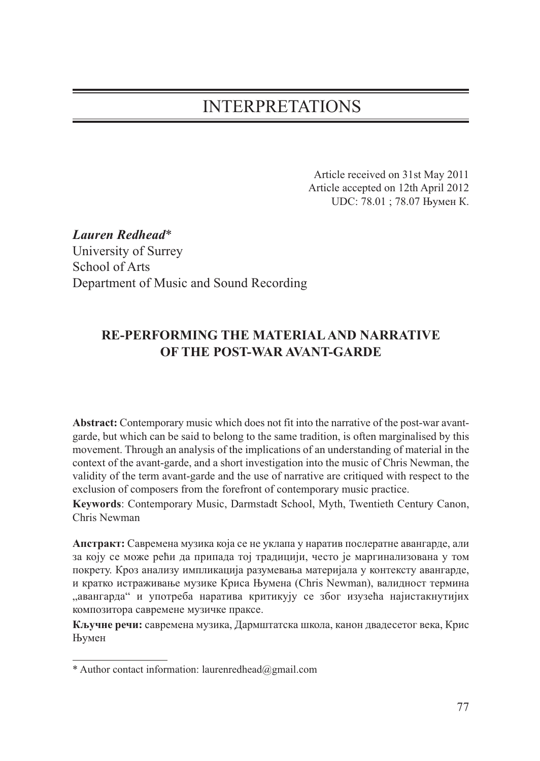# INTERPRETATIONS

Article received on 31st May 2011 Article accepted on 12th April 2012 UDC: 78.01 ; 78.07 Њумен К.

*Lauren Redhead*\* University of Surrey School of Arts Department of Music and Sound Recording

## **RE-PERFORMING THE MATERIAL AND NARRATIVE OF THE POST-WAR AVANT-GARDE**

**Abstract:** Contemporary music which does not fit into the narrative of the post-war avantgarde, but which can be said to belong to the same tradition, is often marginalised by this movement. Through an analysis of the implications of an understanding of material in the context of the avant-garde, and a short investigation into the music of Chris Newman, the validity of the term avant-garde and the use of narrative are critiqued with respect to the exclusion of composers from the forefront of contemporary music practice.

**Keywords**: Contemporary Music, Darmstadt School, Myth, Twentieth Century Canon, Chris Newman

**Апстракт:** Савремена музика која се не уклапа у наратив послератне авангарде, али за коју се може рећи да припада тој традицији, често је маргинализована у том покрету. Кроз анализу импликација разумевања материјала у контексту авангарде, и кратко истраживање музике Криса Њумена (Chris Newman), валидност термина "авангарда" и употреба наратива критикују се због изузећа најистакнутијих композитора савремене музичке праксе.

**Кључне речи:** савремена музика, Дармштатска школа, канон двадесетог века, Крис Њумен

<sup>\*</sup> Author contact information: laurenredhead@gmail.com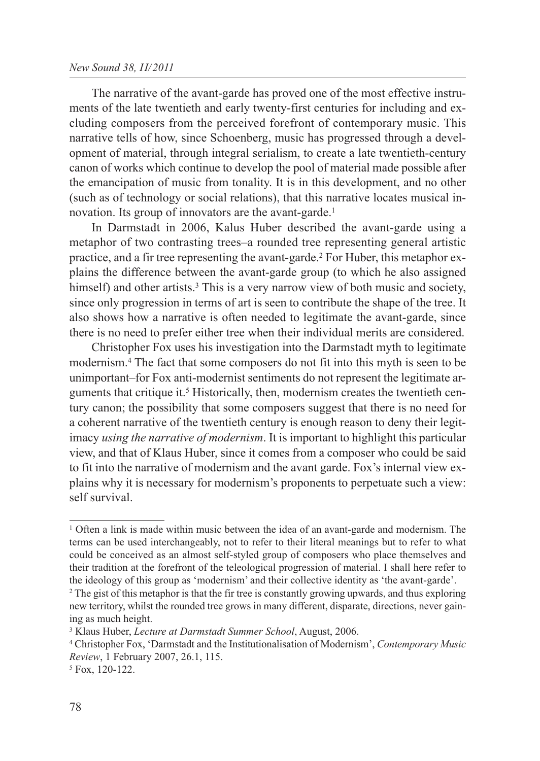#### *New Sound 38, II/2011*

The narrative of the avant-garde has proved one of the most effective instruments of the late twentieth and early twenty-first centuries for including and excluding composers from the perceived forefront of contemporary music. This narrative tells of how, since Schoenberg, music has progressed through a development of material, through integral serialism, to create a late twentieth-century canon of works which continue to develop the pool of material made possible after the emancipation of music from tonality. It is in this development, and no other (such as of technology or social relations), that this narrative locates musical innovation. Its group of innovators are the avant-garde.<sup>1</sup>

In Darmstadt in 2006, Kalus Huber described the avant-garde using a metaphor of two contrasting trees–a rounded tree representing general artistic practice, and a fir tree representing the avant-garde.2 For Huber, this metaphor explains the difference between the avant-garde group (to which he also assigned himself) and other artists.<sup>3</sup> This is a very narrow view of both music and society, since only progression in terms of art is seen to contribute the shape of the tree. It also shows how a narrative is often needed to legitimate the avant-garde, since there is no need to prefer either tree when their individual merits are considered.

Christopher Fox uses his investigation into the Darmstadt myth to legitimate modernism.4 The fact that some composers do not fit into this myth is seen to be unimportant–for Fox anti-modernist sentiments do not represent the legitimate arguments that critique it.5 Historically, then, modernism creates the twentieth century canon; the possibility that some composers suggest that there is no need for a coherent narrative of the twentieth century is enough reason to deny their legitimacy *using the narrative of modernism*. It is important to highlight this particular view, and that of Klaus Huber, since it comes from a composer who could be said to fit into the narrative of modernism and the avant garde. Fox's internal view explains why it is necessary for modernism's proponents to perpetuate such a view: self survival.

<sup>1</sup> Often a link is made within music between the idea of an avant-garde and modernism. The terms can be used interchangeably, not to refer to their literal meanings but to refer to what could be conceived as an almost self-styled group of composers who place themselves and their tradition at the forefront of the teleological progression of material. I shall here refer to the ideology of this group as 'modernism' and their collective identity as 'the avant-garde'.

<sup>&</sup>lt;sup>2</sup> The gist of this metaphor is that the fir tree is constantly growing upwards, and thus exploring new territory, whilst the rounded tree grows in many different, disparate, directions, never gaining as much height.

<sup>3</sup> Klaus Huber, *Lecture at Darmstadt Summer School*, August, 2006.

<sup>4</sup> Christopher Fox, 'Darmstadt and the Institutionalisation of Modernism', *Contemporary Music Review*, 1 February 2007, 26.1, 115.

<sup>5</sup> Fox, 120-122.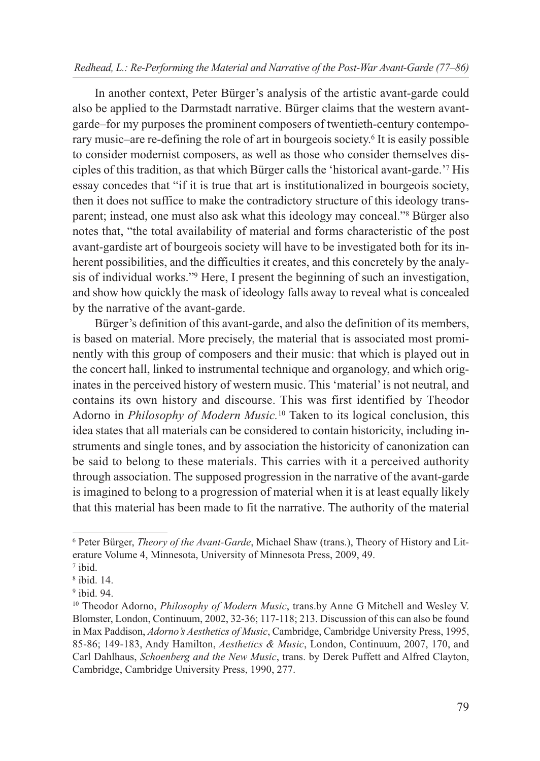In another context, Peter Bürger's analysis of the artistic avant-garde could also be applied to the Darmstadt narrative. Bürger claims that the western avantgarde–for my purposes the prominent composers of twentieth-century contemporary music–are re-defining the role of art in bourgeois society.6 It is easily possible to consider modernist composers, as well as those who consider themselves disciples of this tradition, as that which Bürger calls the 'historical avant-garde.'7 His essay concedes that "if it is true that art is institutionalized in bourgeois society, then it does not suffice to make the contradictory structure of this ideology transparent; instead, one must also ask what this ideology may conceal."8 Bürger also notes that, "the total availability of material and forms characteristic of the post avant-gardiste art of bourgeois society will have to be investigated both for its inherent possibilities, and the difficulties it creates, and this concretely by the analysis of individual works."9 Here, I present the beginning of such an investigation, and show how quickly the mask of ideology falls away to reveal what is concealed by the narrative of the avant-garde.

Bürger's definition of this avant-garde, and also the definition of its members, is based on material. More precisely, the material that is associated most prominently with this group of composers and their music: that which is played out in the concert hall, linked to instrumental technique and organology, and which originates in the perceived history of western music. This 'material' is not neutral, and contains its own history and discourse. This was first identified by Theodor Adorno in *Philosophy of Modern Music.*<sup>10</sup> Taken to its logical conclusion, this idea states that all materials can be considered to contain historicity, including instruments and single tones, and by association the historicity of canonization can be said to belong to these materials. This carries with it a perceived authority through association. The supposed progression in the narrative of the avant-garde is imagined to belong to a progression of material when it is at least equally likely that this material has been made to fit the narrative. The authority of the material

<sup>6</sup> Peter Bürger, *Theory of the Avant-Garde*, Michael Shaw (trans.), Theory of History and Literature Volume 4, Minnesota, University of Minnesota Press, 2009, 49.

<sup>7</sup> ibid.

<sup>8</sup> ibid. 14.

<sup>9</sup> ibid. 94.

<sup>10</sup> Theodor Adorno, *Philosophy of Modern Music*, trans.by Anne G Mitchell and Wesley V. Blomster, London, Continuum, 2002, 32-36; 117-118; 213. Discussion of this can also be found in Max Paddison, *Adorno's Aesthetics of Music*, Cambridge, Cambridge University Press, 1995, 85-86; 149-183, Andy Hamilton, *Aesthetics & Music*, London, Continuum, 2007, 170, and Carl Dahlhaus, *Schoenberg and the New Music*, trans. by Derek Puffett and Alfred Clayton, Cambridge, Cambridge University Press, 1990, 277.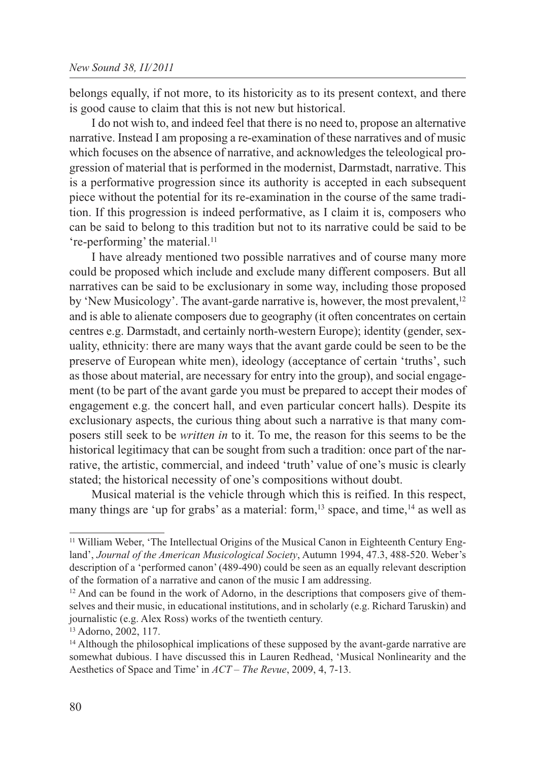belongs equally, if not more, to its historicity as to its present context, and there is good cause to claim that this is not new but historical.

I do not wish to, and indeed feel that there is no need to, propose an alternative narrative. Instead I am proposing a re-examination of these narratives and of music which focuses on the absence of narrative, and acknowledges the teleological progression of material that is performed in the modernist, Darmstadt, narrative. This is a performative progression since its authority is accepted in each subsequent piece without the potential for its re-examination in the course of the same tradition. If this progression is indeed performative, as I claim it is, composers who can be said to belong to this tradition but not to its narrative could be said to be 're-performing' the material.<sup>11</sup>

I have already mentioned two possible narratives and of course many more could be proposed which include and exclude many different composers. But all narratives can be said to be exclusionary in some way, including those proposed by 'New Musicology'. The avant-garde narrative is, however, the most prevalent,<sup>12</sup> and is able to alienate composers due to geography (it often concentrates on certain centres e.g. Darmstadt, and certainly north-western Europe); identity (gender, sexuality, ethnicity: there are many ways that the avant garde could be seen to be the preserve of European white men), ideology (acceptance of certain 'truths', such as those about material, are necessary for entry into the group), and social engagement (to be part of the avant garde you must be prepared to accept their modes of engagement e.g. the concert hall, and even particular concert halls). Despite its exclusionary aspects, the curious thing about such a narrative is that many composers still seek to be *written in* to it. To me, the reason for this seems to be the historical legitimacy that can be sought from such a tradition: once part of the narrative, the artistic, commercial, and indeed 'truth' value of one's music is clearly stated; the historical necessity of one's compositions without doubt.

Musical material is the vehicle through which this is reified. In this respect, many things are 'up for grabs' as a material: form,<sup>13</sup> space, and time,<sup>14</sup> as well as

<sup>11</sup> William Weber, 'The Intellectual Origins of the Musical Canon in Eighteenth Century England', *Journal of the American Musicological Society*, Autumn 1994, 47.3, 488-520. Weber's description of a 'performed canon' (489-490) could be seen as an equally relevant description of the formation of a narrative and canon of the music I am addressing.

 $12$  And can be found in the work of Adorno, in the descriptions that composers give of themselves and their music, in educational institutions, and in scholarly (e.g. Richard Taruskin) and journalistic (e.g. Alex Ross) works of the twentieth century.

<sup>13</sup> Adorno, 2002, 117.

<sup>&</sup>lt;sup>14</sup> Although the philosophical implications of these supposed by the avant-garde narrative are somewhat dubious. I have discussed this in Lauren Redhead, 'Musical Nonlinearity and the Aesthetics of Space and Time' in *ACT – The Revue*, 2009, 4, 7-13.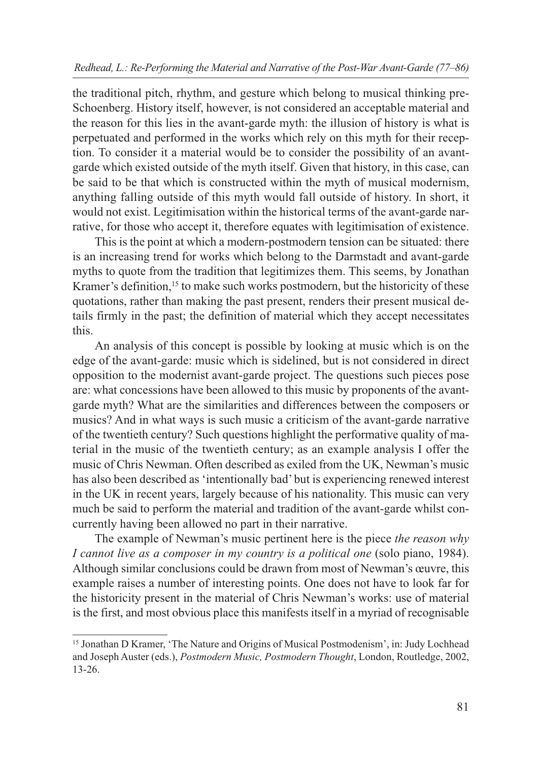the traditional pitch, rhythm, and gesture which belong to musical thinking pre-Schoenberg. History itself, however, is not considered an acceptable material and the reason for this lies in the avant-garde myth: the illusion of history is what is perpetuated and performed in the works which rely on this myth for their reception. To consider it a material would be to consider the possibility of an avantgarde which existed outside of the myth itself. Given that history, in this case, can be said to be that which is constructed within the myth of musical modernism, anything falling outside of this myth would fall outside of history. In short, it would not exist. Legitimisation within the historical terms of the avant-garde narrative, for those who accept it, therefore equates with legitimisation of existence.

This is the point at which a modern-postmodern tension can be situated: there is an increasing trend for works which belong to the Darmstadt and avant-garde myths to quote from the tradition that legitimizes them. This seems, by Jonathan Kramer's definition,<sup>15</sup> to make such works postmodern, but the historicity of these quotations, rather than making the past present, renders their present musical details firmly in the past; the definition of material which they accept necessitates this.

An analysis of this concept is possible by looking at music which is on the edge of the avant-garde: music which is sidelined, but is not considered in direct opposition to the modernist avant-garde project. The questions such pieces pose are: what concessions have been allowed to this music by proponents of the avantgarde myth? What are the similarities and differences between the composers or musics? And in what ways is such music a criticism of the avant-garde narrative of the twentieth century? Such questions highlight the performative quality of material in the music of the twentieth century; as an example analysis I offer the music of Chris Newman. Often described as exiled from the UK, Newman's music has also been described as 'intentionally bad' but is experiencing renewed interest in the UK in recent years, largely because of his nationality. This music can very much be said to perform the material and tradition of the avant-garde whilst concurrently having been allowed no part in their narrative.

The example of Newman's music pertinent here is the piece *the reason why I cannot live as a composer in my country is a political one* (solo piano, 1984). Although similar conclusions could be drawn from most of Newman's œuvre, this example raises a number of interesting points. One does not have to look far for the historicity present in the material of Chris Newman's works: use of material is the first, and most obvious place this manifests itself in a myriad of recognisable

<sup>&</sup>lt;sup>15</sup> Jonathan D Kramer, 'The Nature and Origins of Musical Postmodenism', in: Judy Lochhead and Joseph Auster (eds.), *Postmodern Music, Postmodern Thought*, London, Routledge, 2002, 13-26.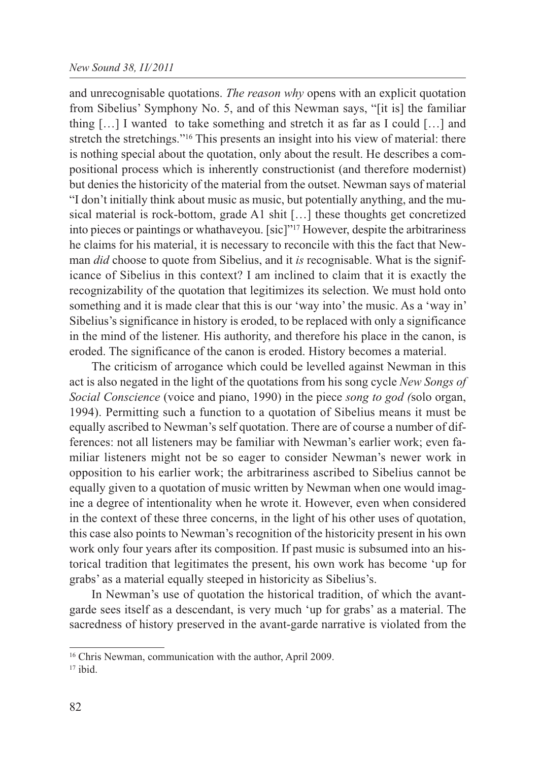#### *New Sound 38, II/2011*

and unrecognisable quotations. *The reason why* opens with an explicit quotation from Sibelius' Symphony No. 5, and of this Newman says, "[it is] the familiar thing  $[\dots]$  I wanted to take something and stretch it as far as I could  $[\dots]$  and stretch the stretchings."16 This presents an insight into his view of material: there is nothing special about the quotation, only about the result. He describes a compositional process which is inherently constructionist (and therefore modernist) but denies the historicity of the material from the outset. Newman says of material "I don't initially think about music as music, but potentially anything, and the musical material is rock-bottom, grade A1 shit […] these thoughts get concretized into pieces or paintings or whathaveyou. [sic]"17 However, despite the arbitrariness he claims for his material, it is necessary to reconcile with this the fact that Newman *did* choose to quote from Sibelius, and it *is* recognisable. What is the significance of Sibelius in this context? I am inclined to claim that it is exactly the recognizability of the quotation that legitimizes its selection. We must hold onto something and it is made clear that this is our 'way into' the music. As a 'way in' Sibelius's significance in history is eroded, to be replaced with only a significance in the mind of the listener. His authority, and therefore his place in the canon, is eroded. The significance of the canon is eroded. History becomes a material.

The criticism of arrogance which could be levelled against Newman in this act is also negated in the light of the quotations from his song cycle *New Songs of Social Conscience* (voice and piano, 1990) in the piece *song to god (*solo organ, 1994). Permitting such a function to a quotation of Sibelius means it must be equally ascribed to Newman's self quotation. There are of course a number of differences: not all listeners may be familiar with Newman's earlier work; even familiar listeners might not be so eager to consider Newman's newer work in opposition to his earlier work; the arbitrariness ascribed to Sibelius cannot be equally given to a quotation of music written by Newman when one would imagine a degree of intentionality when he wrote it. However, even when considered in the context of these three concerns, in the light of his other uses of quotation, this case also points to Newman's recognition of the historicity present in his own work only four years after its composition. If past music is subsumed into an historical tradition that legitimates the present, his own work has become 'up for grabs' as a material equally steeped in historicity as Sibelius's.

In Newman's use of quotation the historical tradition, of which the avantgarde sees itself as a descendant, is very much 'up for grabs' as a material. The sacredness of history preserved in the avant-garde narrative is violated from the

<sup>16</sup> Chris Newman, communication with the author, April 2009.

 $17$  ibid.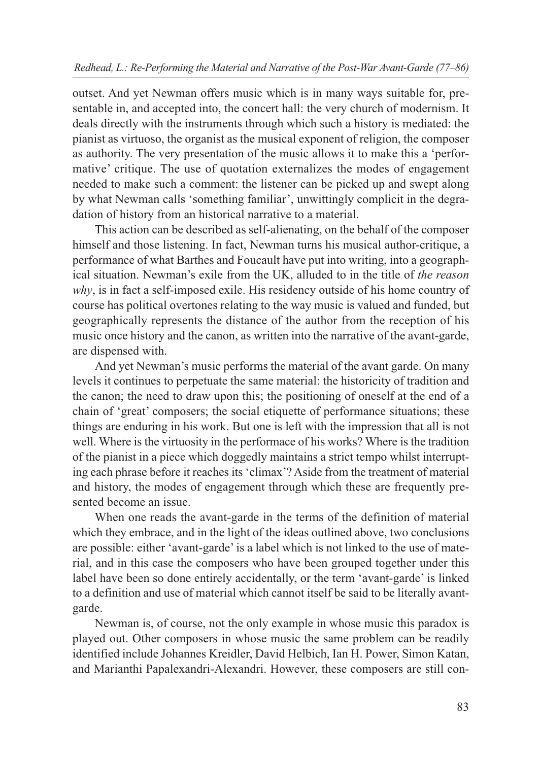outset. And yet Newman offers music which is in many ways suitable for, presentable in, and accepted into, the concert hall: the very church of modernism. It deals directly with the instruments through which such a history is mediated: the pianist as virtuoso, the organist as the musical exponent of religion, the composer as authority. The very presentation of the music allows it to make this a 'performative' critique. The use of quotation externalizes the modes of engagement needed to make such a comment: the listener can be picked up and swept along by what Newman calls 'something familiar', unwittingly complicit in the degradation of history from an historical narrative to a material.

This action can be described as self-alienating, on the behalf of the composer himself and those listening. In fact, Newman turns his musical author-critique, a performance of what Barthes and Foucault have put into writing, into a geographical situation. Newman's exile from the UK, alluded to in the title of *the reason why*, is in fact a self-imposed exile. His residency outside of his home country of course has political overtones relating to the way music is valued and funded, but geographically represents the distance of the author from the reception of his music once history and the canon, as written into the narrative of the avant-garde, are dispensed with.

And yet Newman's music performs the material of the avant garde. On many levels it continues to perpetuate the same material: the historicity of tradition and the canon; the need to draw upon this; the positioning of oneself at the end of a chain of 'great' composers; the social etiquette of performance situations; these things are enduring in his work. But one is left with the impression that all is not well. Where is the virtuosity in the performace of his works? Where is the tradition of the pianist in a piece which doggedly maintains a strict tempo whilst interrupting each phrase before it reaches its 'climax'? Aside from the treatment of material and history, the modes of engagement through which these are frequently presented become an issue.

When one reads the avant-garde in the terms of the definition of material which they embrace, and in the light of the ideas outlined above, two conclusions are possible: either 'avant-garde' is a label which is not linked to the use of material, and in this case the composers who have been grouped together under this label have been so done entirely accidentally, or the term 'avant-garde' is linked to a definition and use of material which cannot itself be said to be literally avantgarde.

Newman is, of course, not the only example in whose music this paradox is played out. Other composers in whose music the same problem can be readily identified include Johannes Kreidler, David Helbich, Ian H. Power, Simon Katan, and Marianthi Papalexandri-Alexandri. However, these composers are still con-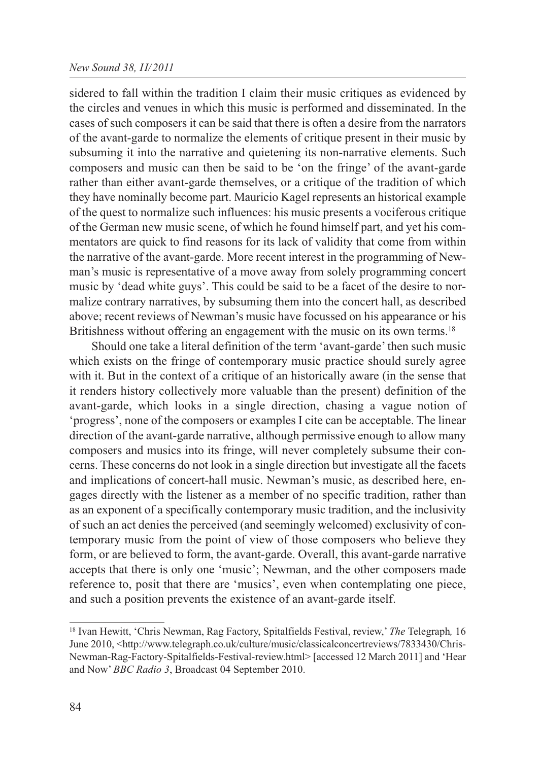### *New Sound 38, II/2011*

sidered to fall within the tradition I claim their music critiques as evidenced by the circles and venues in which this music is performed and disseminated. In the cases of such composers it can be said that there is often a desire from the narrators of the avant-garde to normalize the elements of critique present in their music by subsuming it into the narrative and quietening its non-narrative elements. Such composers and music can then be said to be 'on the fringe' of the avant-garde rather than either avant-garde themselves, or a critique of the tradition of which they have nominally become part. Mauricio Kagel represents an historical example of the quest to normalize such influences: his music presents a vociferous critique of the German new music scene, of which he found himself part, and yet his commentators are quick to find reasons for its lack of validity that come from within the narrative of the avant-garde. More recent interest in the programming of Newman's music is representative of a move away from solely programming concert music by 'dead white guys'. This could be said to be a facet of the desire to normalize contrary narratives, by subsuming them into the concert hall, as described above; recent reviews of Newman's music have focussed on his appearance or his Britishness without offering an engagement with the music on its own terms.<sup>18</sup>

Should one take a literal definition of the term 'avant-garde' then such music which exists on the fringe of contemporary music practice should surely agree with it. But in the context of a critique of an historically aware (in the sense that it renders history collectively more valuable than the present) definition of the avant-garde, which looks in a single direction, chasing a vague notion of 'progress', none of the composers or examples I cite can be acceptable. The linear direction of the avant-garde narrative, although permissive enough to allow many composers and musics into its fringe, will never completely subsume their concerns. These concerns do not look in a single direction but investigate all the facets and implications of concert-hall music. Newman's music, as described here, engages directly with the listener as a member of no specific tradition, rather than as an exponent of a specifically contemporary music tradition, and the inclusivity of such an act denies the perceived (and seemingly welcomed) exclusivity of contemporary music from the point of view of those composers who believe they form, or are believed to form, the avant-garde. Overall, this avant-garde narrative accepts that there is only one 'music'; Newman, and the other composers made reference to, posit that there are 'musics', even when contemplating one piece, and such a position prevents the existence of an avant-garde itself.

<sup>18</sup> Ivan Hewitt, 'Chris Newman, Rag Factory, Spitalfields Festival, review,' *The* Telegraph*,* 16 June 2010, <http://www.telegraph.co.uk/culture/music/classicalconcertreviews/7833430/Chris-Newman-Rag-Factory-Spitalfields-Festival-review.html> [accessed 12 March 2011] and 'Hear and Now' *BBC Radio 3*, Broadcast 04 September 2010.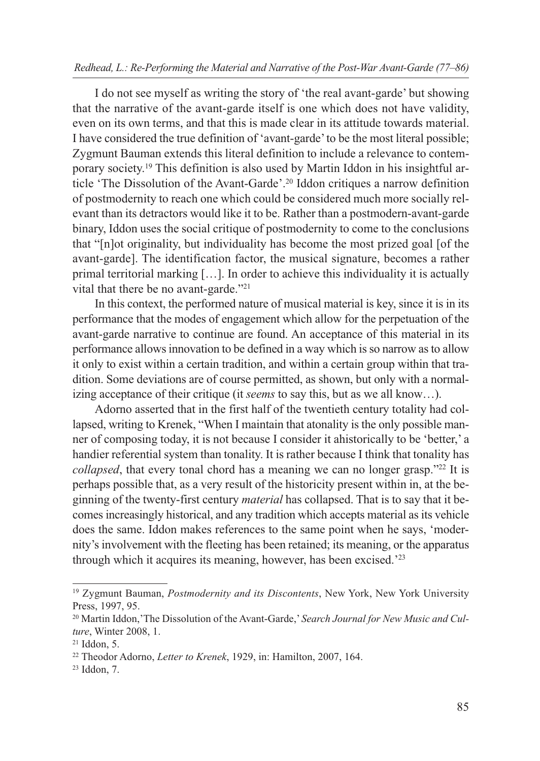I do not see myself as writing the story of 'the real avant-garde' but showing that the narrative of the avant-garde itself is one which does not have validity, even on its own terms, and that this is made clear in its attitude towards material. I have considered the true definition of 'avant-garde' to be the most literal possible; Zygmunt Bauman extends this literal definition to include a relevance to contemporary society.19 This definition is also used by Martin Iddon in his insightful article 'The Dissolution of the Avant-Garde'.20 Iddon critiques a narrow definition of postmodernity to reach one which could be considered much more socially relevant than its detractors would like it to be. Rather than a postmodern-avant-garde binary, Iddon uses the social critique of postmodernity to come to the conclusions that "[n]ot originality, but individuality has become the most prized goal [of the avant-garde]. The identification factor, the musical signature, becomes a rather primal territorial marking […]. In order to achieve this individuality it is actually vital that there be no avant-garde."21

In this context, the performed nature of musical material is key, since it is in its performance that the modes of engagement which allow for the perpetuation of the avant-garde narrative to continue are found. An acceptance of this material in its performance allows innovation to be defined in a way which is so narrow as to allow it only to exist within a certain tradition, and within a certain group within that tradition. Some deviations are of course permitted, as shown, but only with a normalizing acceptance of their critique (it *seems* to say this, but as we all know…).

Adorno asserted that in the first half of the twentieth century totality had collapsed, writing to Krenek, "When I maintain that atonality is the only possible manner of composing today, it is not because I consider it ahistorically to be 'better,' a handier referential system than tonality. It is rather because I think that tonality has *collapsed*, that every tonal chord has a meaning we can no longer grasp."22 It is perhaps possible that, as a very result of the historicity present within in, at the beginning of the twenty-first century *material* has collapsed. That is to say that it becomes increasingly historical, and any tradition which accepts material as its vehicle does the same. Iddon makes references to the same point when he says, 'modernity's involvement with the fleeting has been retained; its meaning, or the apparatus through which it acquires its meaning, however, has been excised.'23

<sup>19</sup> Zygmunt Bauman, *Postmodernity and its Discontents*, New York, New York University Press, 1997, 95.

<sup>20</sup> Martin Iddon,'The Dissolution of the Avant-Garde,' *Search Journal for New Music and Culture*, Winter 2008, 1.

 $21$  Iddon, 5.

<sup>22</sup> Theodor Adorno, *Letter to Krenek*, 1929, in: Hamilton, 2007, 164.

<sup>23</sup> Iddon, 7.